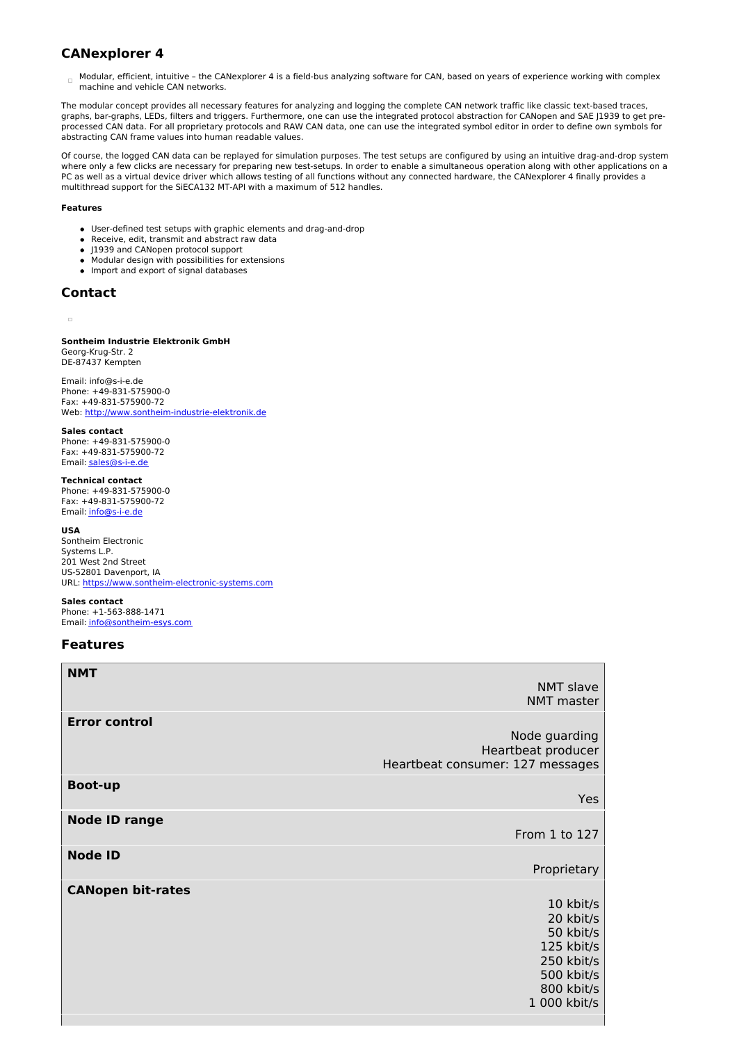# **CANexplorer 4**

 $\Box$  Modular, efficient, intuitive - the CANexplorer 4 is a field-bus analyzing software for CAN, based on years of experience working with complex machine and vehicle CAN networks.

The modular concept provides all necessary features for analyzing and logging the complete CAN network traffic like classic text-based traces, graphs, bar-graphs, LEDs, filters and triggers. Furthermore, one can use the integrated protocol abstraction for CANopen and SAE J1939 to get preprocessed CAN data. For all proprietary protocols and RAW CAN data, one can use the integrated symbol editor in order to define own symbols for abstracting CAN frame values into human readable values.

Of course, the logged CAN data can be replayed for simulation purposes. The test setups are configured by using an intuitive drag-and-drop system where only a few clicks are necessary for preparing new test-setups. In order to enable a simultaneous operation along with other applications on a PC as well as a virtual device driver which allows testing of all functions without any connected hardware, the CANexplorer 4 finally provides a multithread support for the SiECA132 MT-API with a maximum of 512 handles.

#### **Features**

- User-defined test setups with graphic elements and drag-and-drop
- Receive, edit, transmit and abstract raw data
- J1939 and CANopen protocol support
- Modular design with possibilities for extensions
- Import and export of signal databases

# **Contact**

#### $\overline{a}$

#### **Sontheim Industrie Elektronik GmbH** Georg-Krug-Str. 2 DE-87437 Kempten

Email: info@s-i-e.de Phone: +49-831-575900-0 Fax: +49-831-575900-72 Web: <http://www.sontheim-industrie-elektronik.de>

#### **Sales contact**

Phone: +49-831-575900-0 Fax: +49-831-575900-72 Email: [sales@s-i-e.de](mailto:sales@s-i-e.de)

### **Technical contact**

Phone: +49-831-575900-0 Fax: +49-831-575900-72 Email: [info@s-i-e.de](mailto:info@s-i-e.de)

#### **USA**

Sontheim Electronic Systems L.P. 201 West 2nd Street US-52801 Davenport, IA URL: <https://www.sontheim-electronic-systems.com>

### **Sales contact**

Phone: +1-563-888-1471 Email: [info@sontheim-esys.com](mailto:info@sontheim-esys.com)

### **Features**

| <b>NMT</b>               |                                  |
|--------------------------|----------------------------------|
|                          | <b>NMT slave</b>                 |
|                          | <b>NMT</b> master                |
| <b>Error control</b>     |                                  |
|                          | Node guarding                    |
|                          | Heartbeat producer               |
|                          | Heartbeat consumer: 127 messages |
| <b>Boot-up</b>           |                                  |
|                          | Yes                              |
| <b>Node ID range</b>     |                                  |
|                          | From 1 to 127                    |
| <b>Node ID</b>           |                                  |
|                          | Proprietary                      |
| <b>CANopen bit-rates</b> |                                  |
|                          | 10 kbit/s                        |
|                          | 20 kbit/s                        |
|                          | 50 kbit/s                        |
|                          | 125 kbit/s                       |
|                          | 250 kbit/s<br>500 kbit/s         |
|                          | 800 kbit/s                       |
|                          | 1 000 kbit/s                     |
|                          |                                  |